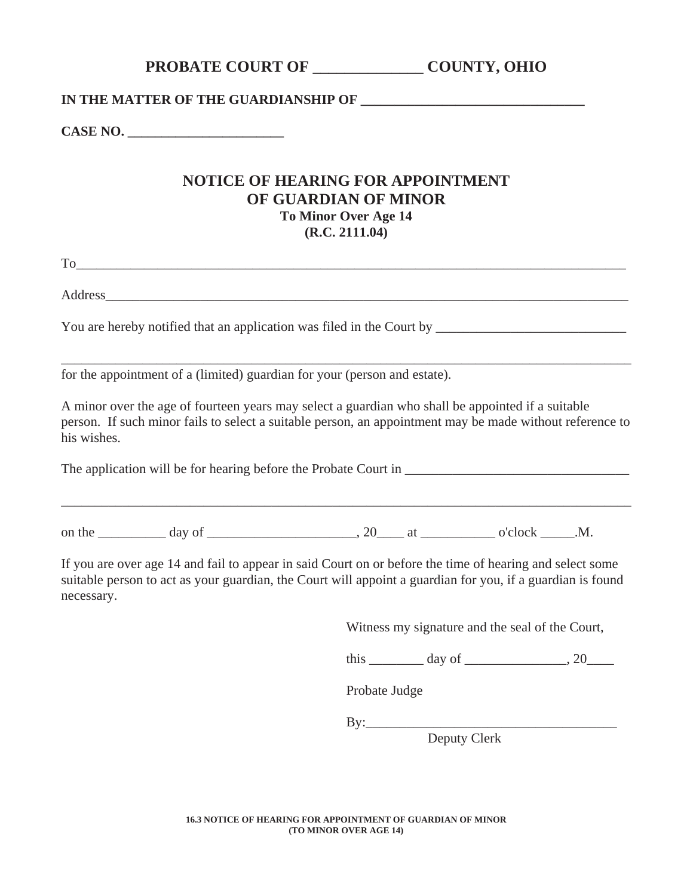## **PROBATE COURT OF TRUMBULL COUNTY, OHIO**

## IN THE MATTER OF THE GUARDIANSHIP OF

**CASE NO.** *CASE NO.* 

## **NOTICE OF HEARING FOR APPOINTMENT OF GUARDIAN OF MINOR To Minor Over Age 14 (R.C. 2111.04)**

To\_\_\_\_\_\_\_\_\_\_\_\_\_\_\_\_\_\_\_\_\_\_\_\_\_\_\_\_\_\_\_\_\_\_\_\_\_\_\_\_\_\_\_\_\_\_\_\_\_\_\_\_\_\_\_\_\_\_\_\_\_\_\_\_\_\_\_\_\_\_\_\_\_\_\_\_\_\_\_\_\_

Address

You are hereby notified that an application was filed in the Court by

for the appointment of a (limited) guardian for your (person and estate).

A minor over the age of fourteen years may select a guardian who shall be appointed if a suitable person. If such minor fails to select a suitable person, an appointment may be made without reference to the minor's wishes.

\_\_\_\_\_\_\_\_\_\_\_\_\_\_\_\_\_\_\_\_\_\_\_\_\_\_\_\_\_\_\_\_\_\_\_\_\_\_\_\_\_\_\_\_\_\_\_\_\_\_\_\_\_\_\_\_\_\_\_\_\_\_\_\_\_\_\_\_\_\_\_\_\_\_\_\_\_\_\_\_\_\_\_\_

The application will be for hearing before the Probate Court in

\_\_\_\_\_\_\_\_\_\_\_\_\_\_\_\_\_\_\_\_\_\_\_\_\_\_\_\_\_\_\_\_\_\_\_\_\_\_\_\_\_\_\_\_\_\_\_\_\_\_\_\_\_\_\_\_\_\_\_\_\_\_\_\_\_\_\_\_\_\_\_\_\_\_\_\_\_\_\_\_\_\_\_\_

on the day of the day of the day of the day of the day of the day of the day of the day of the day of the day  $\alpha$  at  $\alpha$  o'clock  $\alpha$ .M.

If you are over age 14 and fail to appear in said Court on or before the time of hearing and select some suitable person to act as your guardian, the Court will appoint a guardian for you, if a guardian is found necessary.

Witness my signature and the seal of the Court,

this day of  $\frac{1}{20}$ 

Probate Judge

By:\_\_\_\_\_\_\_\_\_\_\_\_\_\_\_\_\_\_\_\_\_\_\_\_\_\_\_\_\_\_\_\_\_\_\_\_\_

Deputy Clerk